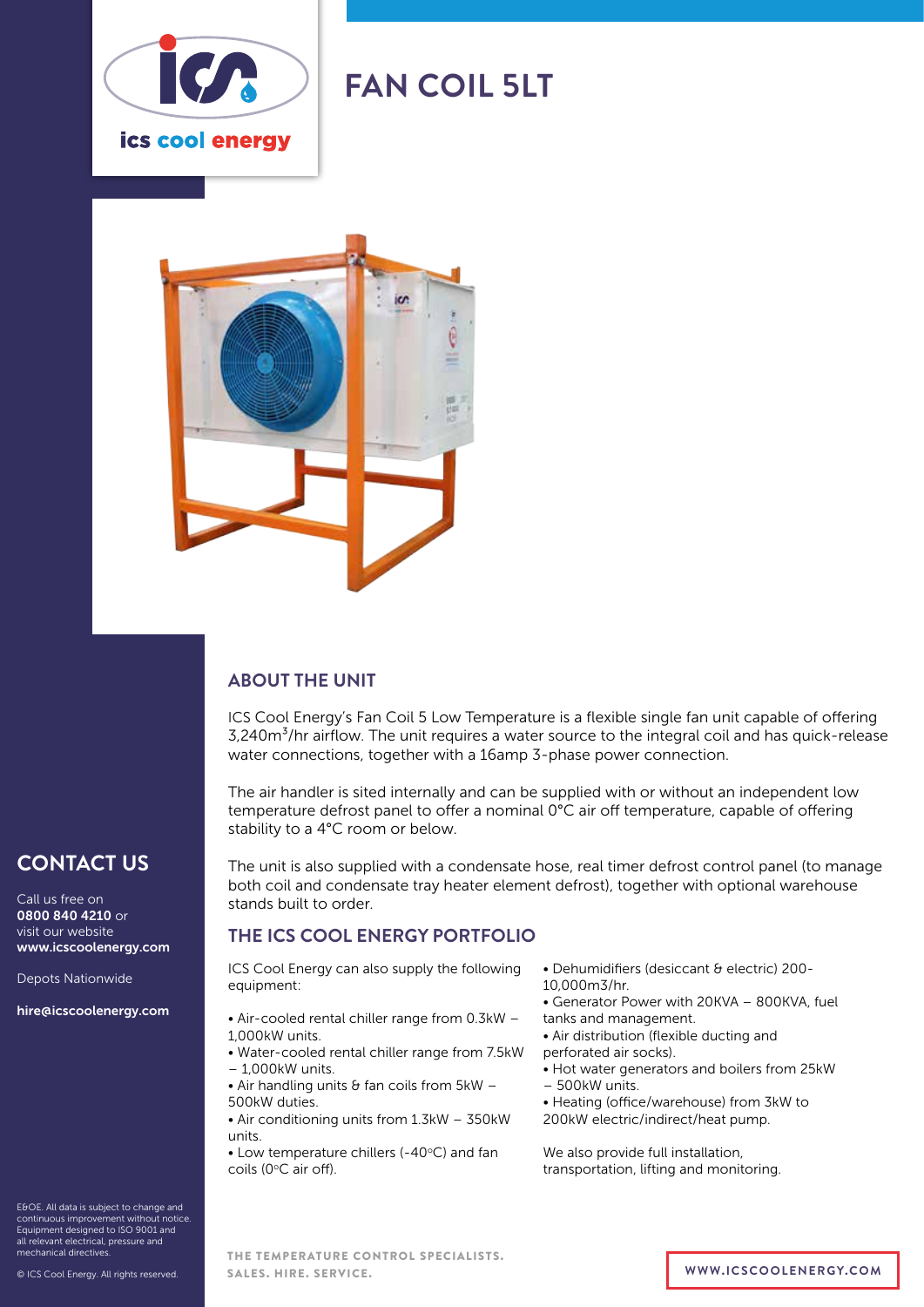

# **FAN COIL 5LT**



# **ABOUT THE UNIT**

ICS Cool Energy's Fan Coil 5 Low Temperature is a flexible single fan unit capable of offering 3,240m<sup>3</sup>/hr airflow. The unit requires a water source to the integral coil and has quick-release water connections, together with a 16amp 3-phase power connection.

The air handler is sited internally and can be supplied with or without an independent low temperature defrost panel to offer a nominal 0°C air off temperature, capable of offering stability to a 4°C room or below.

The unit is also supplied with a condensate hose, real timer defrost control panel (to manage both coil and condensate tray heater element defrost), together with optional warehouse stands built to order.

# **THE ICS COOL ENERGY PORTFOLIO**

ICS Cool Energy can also supply the following equipment:

- Air-cooled rental chiller range from 0.3kW 1,000kW units.
- Water-cooled rental chiller range from 7.5kW – 1,000kW units.
- $\bullet$  Air handling units & fan coils from 5kW -500kW duties.
- Air conditioning units from 1.3kW 350kW units.

 $\bullet$  Low temperature chillers (-40 $\degree$ C) and fan coils (0°C air off).

- Dehumidifiers (desiccant & electric) 200-
- 10,000m3/hr.
- Generator Power with 20KVA 800KVA, fuel tanks and management.
- Air distribution (flexible ducting and
- perforated air socks).
- Hot water generators and boilers from 25kW – 500kW units.
- 
- Heating (office/warehouse) from 3kW to 200kW electric/indirect/heat pump.

We also provide full installation, transportation, lifting and monitoring.

E&OE. All data is subject to change and continuous improvement without notice. Equipment designed to ISO 9001 and all relevant electrical, pressure and mechanical directives.

**CONTACT US**

www.icscoolenergy.com

hire@icscoolenergy.com

Depots Nationwide

Call us free on 0800 840 4210 or visit our website

THE TEMPERATURE CONTROL SPECIALISTS. SALES. HIRE. SERVICE. **WWW.ICSCOOLENERGY.COM**